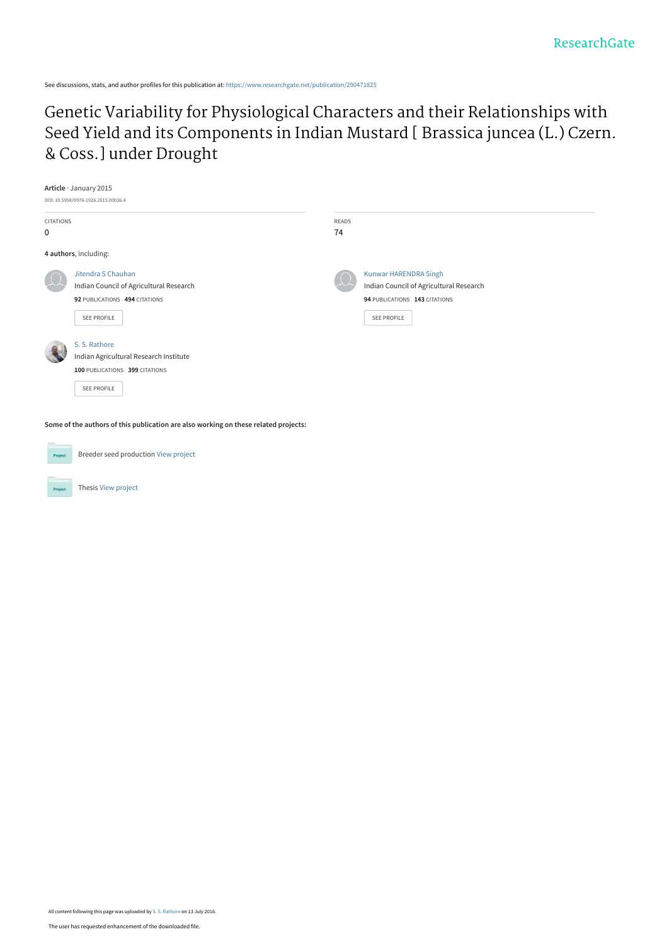See discussions, stats, and author profiles for this publication at: [https://www.researchgate.net/publication/290471825](https://www.researchgate.net/publication/290471825_Genetic_Variability_for_Physiological_Characters_and_their_Relationships_with_Seed_Yield_and_its_Components_in_Indian_Mustard_Brassica_juncea_L_Czern_Coss_under_Drought?enrichId=rgreq-493e9987210135a727e1d3d7ac7e58b0-XXX&enrichSource=Y292ZXJQYWdlOzI5MDQ3MTgyNTtBUzozODMzMTQ5NTY0Mzk1NTZAMTQ2ODQwMDgxNjAyNg%3D%3D&el=1_x_2&_esc=publicationCoverPdf)

Genetic Variability for Physiological Characters and their Relationships with [Seed Yield and its Components in Indian Mustard \[ Brassica juncea \(L.\) Czern.](https://www.researchgate.net/publication/290471825_Genetic_Variability_for_Physiological_Characters_and_their_Relationships_with_Seed_Yield_and_its_Components_in_Indian_Mustard_Brassica_juncea_L_Czern_Coss_under_Drought?enrichId=rgreq-493e9987210135a727e1d3d7ac7e58b0-XXX&enrichSource=Y292ZXJQYWdlOzI5MDQ3MTgyNTtBUzozODMzMTQ5NTY0Mzk1NTZAMTQ2ODQwMDgxNjAyNg%3D%3D&el=1_x_3&_esc=publicationCoverPdf) & Coss.] under Drought

|                  | Article · January 2015                                                              |       |                                         |  |
|------------------|-------------------------------------------------------------------------------------|-------|-----------------------------------------|--|
|                  | DOI: 10.5958/0976-1926.2015.00036.4                                                 |       |                                         |  |
| <b>CITATIONS</b> |                                                                                     | READS |                                         |  |
| $\mathbf 0$      |                                                                                     | 74    |                                         |  |
|                  | 4 authors, including:                                                               |       |                                         |  |
|                  | Jitendra S Chauhan                                                                  |       | Kunwar HARENDRA Singh                   |  |
|                  | Indian Council of Agricultural Research                                             |       | Indian Council of Agricultural Research |  |
|                  | 92 PUBLICATIONS 494 CITATIONS                                                       |       | 94 PUBLICATIONS 143 CITATIONS           |  |
|                  | SEE PROFILE                                                                         |       | <b>SEE PROFILE</b>                      |  |
|                  | S. S. Rathore                                                                       |       |                                         |  |
|                  | Indian Agricultural Research Institute                                              |       |                                         |  |
|                  | 100 PUBLICATIONS 399 CITATIONS                                                      |       |                                         |  |
|                  | <b>SEE PROFILE</b>                                                                  |       |                                         |  |
|                  |                                                                                     |       |                                         |  |
|                  | Some of the authors of this publication are also working on these related projects: |       |                                         |  |

Breeder seed production [View project](https://www.researchgate.net/project/Breeder-seed-production?enrichId=rgreq-493e9987210135a727e1d3d7ac7e58b0-XXX&enrichSource=Y292ZXJQYWdlOzI5MDQ3MTgyNTtBUzozODMzMTQ5NTY0Mzk1NTZAMTQ2ODQwMDgxNjAyNg%3D%3D&el=1_x_9&_esc=publicationCoverPdf) Project Thesis [View project](https://www.researchgate.net/project/Thesis-936?enrichId=rgreq-493e9987210135a727e1d3d7ac7e58b0-XXX&enrichSource=Y292ZXJQYWdlOzI5MDQ3MTgyNTtBUzozODMzMTQ5NTY0Mzk1NTZAMTQ2ODQwMDgxNjAyNg%3D%3D&el=1_x_9&_esc=publicationCoverPdf)

All content following this page was uploaded by [S. S. Rathore](https://www.researchgate.net/profile/S_Rathore?enrichId=rgreq-493e9987210135a727e1d3d7ac7e58b0-XXX&enrichSource=Y292ZXJQYWdlOzI5MDQ3MTgyNTtBUzozODMzMTQ5NTY0Mzk1NTZAMTQ2ODQwMDgxNjAyNg%3D%3D&el=1_x_10&_esc=publicationCoverPdf) on 13 July 2016.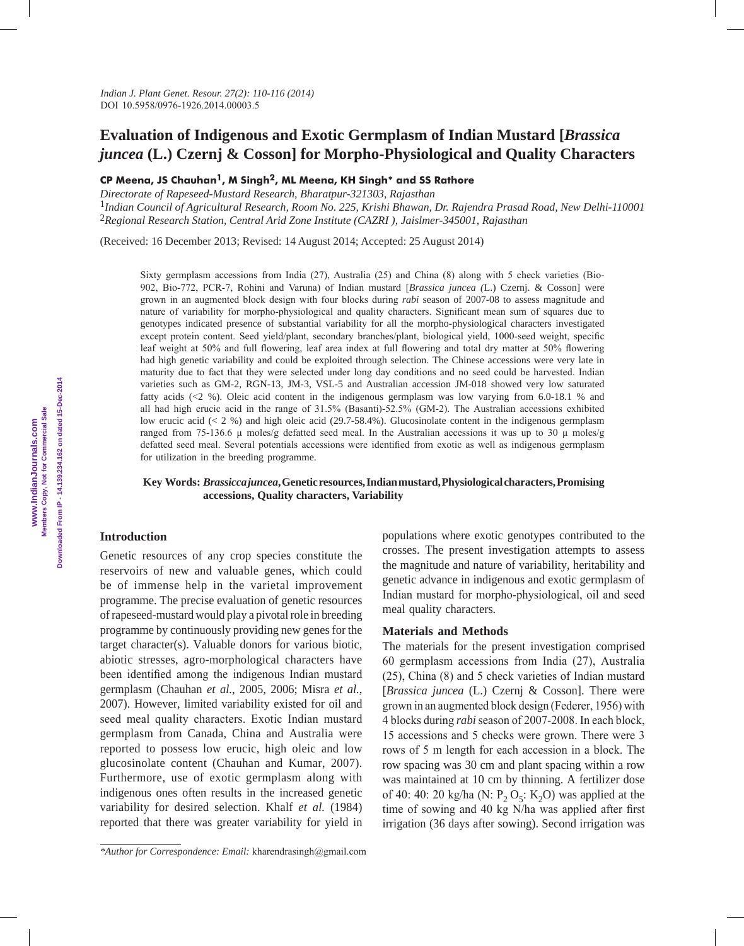# **Evaluation of Indigenous and Exotic Germplasm of Indian Mustard [***Brassica juncea* **(L.) Czernj & Cosson] for Morpho-Physiological and Quality Characters**

**CP Meena, JS Chauhan1, M Singh2, ML Meena, KH Singh\* and SS Rathore**

*Directorate of Rapeseed-Mustard Research, Bharatpur-321303, Rajasthan* <sup>1</sup>*Indian Council of Agricultural Research, Room No. 225, Krishi Bhawan, Dr. Rajendra Prasad Road, New Delhi-110001* <sup>2</sup>*Regional Research Station, Central Arid Zone Institute (CAZRI ), Jaislmer-345001, Rajasthan*

(Received: 16 December 2013; Revised: 14 August 2014; Accepted: 25 August 2014)

Sixty germplasm accessions from India (27), Australia (25) and China (8) along with 5 check varieties (Bio-902, Bio-772, PCR-7, Rohini and Varuna) of Indian mustard [*Brassica juncea (*L.) Czernj. & Cosson] were grown in an augmented block design with four blocks during *rabi* season of 2007-08 to assess magnitude and nature of variability for morpho-physiological and quality characters. Significant mean sum of squares due to genotypes indicated presence of substantial variability for all the morpho-physiological characters investigated except protein content. Seed yield/plant, secondary branches/plant, biological yield, 1000-seed weight, specific leaf weight at 50% and full flowering, leaf area index at full flowering and total dry matter at 50% flowering had high genetic variability and could be exploited through selection. The Chinese accessions were very late in maturity due to fact that they were selected under long day conditions and no seed could be harvested. Indian varieties such as GM-2, RGN-13, JM-3, VSL-5 and Australian accession JM-018 showed very low saturated fatty acids (<2 %). Oleic acid content in the indigenous germplasm was low varying from 6.0-18.1 % and all had high erucic acid in the range of 31.5% (Basanti)-52.5% (GM-2). The Australian accessions exhibited low erucic acid (< 2 %) and high oleic acid (29.7-58.4%). Glucosinolate content in the indigenous germplasm ranged from 75-136.6 µ moles/g defatted seed meal. In the Australian accessions it was up to 30 µ moles/g defatted seed meal. Several potentials accessions were identified from exotic as well as indigenous germplasm for utilization in the breeding programme.

# **Key Words:** *Brassicca juncea***, Genetic resources, Indian mustard, Physiological characters, Promising accessions, Quality characters, Variability**

# **Introduction**

Genetic resources of any crop species constitute the reservoirs of new and valuable genes, which could be of immense help in the varietal improvement programme. The precise evaluation of genetic resources of rapeseed-mustard would play a pivotal role in breeding programme by continuously providing new genes for the target character(s). Valuable donors for various biotic, abiotic stresses, agro-morphological characters have been identified among the indigenous Indian mustard germplasm (Chauhan *et al.*, 2005, 2006; Misra *et al.*, 2007). However, limited variability existed for oil and seed meal quality characters. Exotic Indian mustard germplasm from Canada, China and Australia were reported to possess low erucic, high oleic and low glucosinolate content (Chauhan and Kumar, 2007). Furthermore, use of exotic germplasm along with indigenous ones often results in the increased genetic variability for desired selection. Khalf *et al.* (1984) reported that there was greater variability for yield in

populations where exotic genotypes contributed to the crosses. The present investigation attempts to assess the magnitude and nature of variability, heritability and genetic advance in indigenous and exotic germplasm of Indian mustard for morpho-physiological, oil and seed meal quality characters.

### **Materials and Methods**

The materials for the present investigation comprised 60 germplasm accessions from India (27), Australia (25), China (8) and 5 check varieties of Indian mustard [*Brassica juncea* (L.) Czernj & Cosson]. There were grown in an augmented block design (Federer, 1956) with 4 blocks during *rabi* season of 2007-2008. In each block, 15 accessions and 5 checks were grown. There were 3 rows of 5 m length for each accession in a block. The row spacing was 30 cm and plant spacing within a row was maintained at 10 cm by thinning. A fertilizer dose of 40: 40: 20 kg/ha (N:  $P_2 O_5$ : K<sub>2</sub>O) was applied at the time of sowing and 40 kg N/ha was applied after first irrigation (36 days after sowing). Second irrigation was

*<sup>\*</sup>Author for Correspondence: Email:* kharendrasingh@gmail.com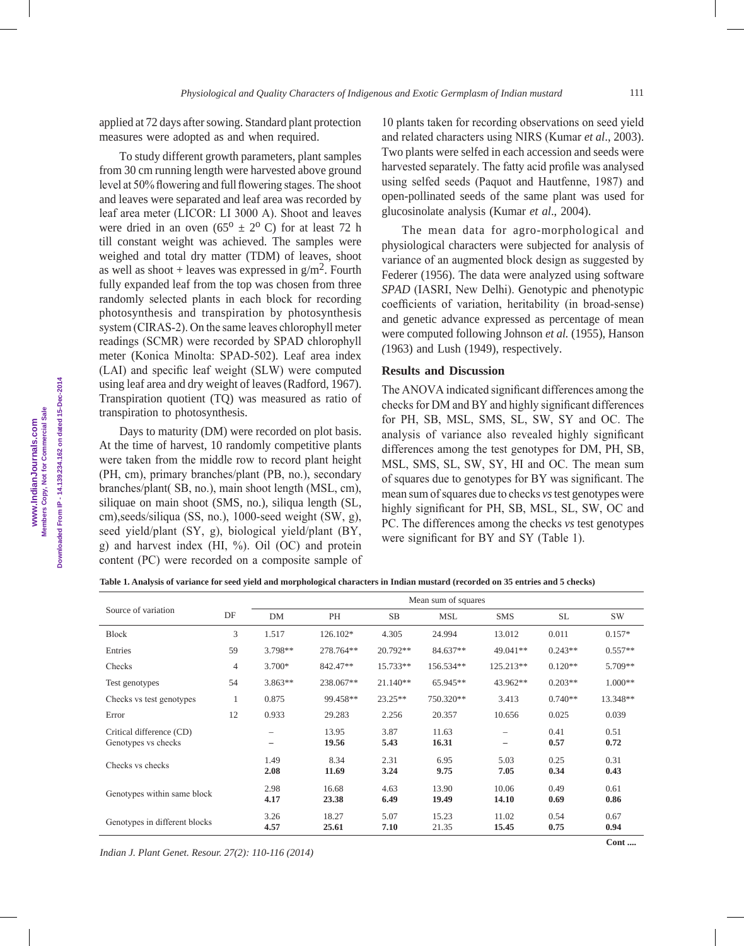**Downloaded From IP - 14.139.234.162 on dated 15-Dec-2014**

applied at 72 days after sowing. Standard plant protection measures were adopted as and when required.

To study different growth parameters, plant samples from 30 cm running length were harvested above ground level at 50% flowering and full flowering stages. The shoot and leaves were separated and leaf area was recorded by leaf area meter (LICOR: LI 3000 A). Shoot and leaves were dried in an oven  $(65^{\circ} \pm 2^{\circ} \text{ C})$  for at least 72 h till constant weight was achieved. The samples were weighed and total dry matter (TDM) of leaves, shoot as well as shoot + leaves was expressed in  $g/m<sup>2</sup>$ . Fourth fully expanded leaf from the top was chosen from three randomly selected plants in each block for recording photosynthesis and transpiration by photosynthesis system (CIRAS-2). On the same leaves chlorophyll meter readings (SCMR) were recorded by SPAD chlorophyll meter (Konica Minolta: SPAD-502). Leaf area index (LAI) and specific leaf weight (SLW) were computed using leaf area and dry weight of leaves (Radford, 1967). Transpiration quotient (TQ) was measured as ratio of transpiration to photosynthesis.

Days to maturity (DM) were recorded on plot basis. At the time of harvest, 10 randomly competitive plants were taken from the middle row to record plant height (PH, cm), primary branches/plant (PB, no.), secondary branches/plant( SB, no.), main shoot length (MSL, cm), siliquae on main shoot (SMS, no.), siliqua length (SL, cm),seeds/siliqua (SS, no.), 1000-seed weight (SW, g), seed yield/plant (SY, g), biological yield/plant (BY, g) and harvest index (HI, %). Oil (OC) and protein content (PC) were recorded on a composite sample of 10 plants taken for recording observations on seed yield and related characters using NIRS (Kumar *et al*., 2003). Two plants were selfed in each accession and seeds were harvested separately. The fatty acid profile was analysed using selfed seeds (Paquot and Hautfenne, 1987) and open-pollinated seeds of the same plant was used for glucosinolate analysis (Kumar *et al*., 2004).

The mean data for agro-morphological and physiological characters were subjected for analysis of variance of an augmented block design as suggested by Federer (1956). The data were analyzed using software *SPAD* (IASRI, New Delhi). Genotypic and phenotypic coefficients of variation, heritability (in broad-sense) and genetic advance expressed as percentage of mean were computed following Johnson *et al.* (1955), Hanson *(*1963) and Lush (1949), respectively.

### **Results and Discussion**

The ANOVA indicated significant differences among the checks for DM and BY and highly significant differences for PH, SB, MSL, SMS, SL, SW, SY and OC. The analysis of variance also revealed highly significant differences among the test genotypes for DM, PH, SB, MSL, SMS, SL, SW, SY, HI and OC. The mean sum of squares due to genotypes for BY was significant. The mean sum of squares due to checks *vs* test genotypes were highly significant for PH, SB, MSL, SL, SW, OC and PC. The differences among the checks *vs* test genotypes were significant for BY and SY (Table 1).

**Table 1. Analysis of variance for seed yield and morphological characters in Indian mustard (recorded on 35 entries and 5 checks)**

|                                                 |                |              |                |              | Mean sum of squares |                        |              |              |
|-------------------------------------------------|----------------|--------------|----------------|--------------|---------------------|------------------------|--------------|--------------|
| Source of variation                             | DF             | <b>DM</b>    | PH             | <b>SB</b>    | <b>MSL</b>          | <b>SMS</b>             | <b>SL</b>    | SW           |
| <b>Block</b>                                    | 3              | 1.517        | 126.102*       | 4.305        | 24.994              | 13.012                 | 0.011        | $0.157*$     |
| Entries                                         | 59             | 3.798**      | 278.764**      | 20.792**     | 84.637**            | 49.041**               | $0.243**$    | $0.557**$    |
| Checks                                          | $\overline{4}$ | 3.700*       | 842.47**       | 15.733**     | 156.534**           | 125.213**              | $0.120**$    | 5.709**      |
| Test genotypes                                  | 54             | $3.863**$    | 238.067**      | $21.140**$   | 65.945**            | 43.962**               | $0.203**$    | $1.000**$    |
| Checks vs test genotypes                        | $\mathbf{1}$   | 0.875        | 99.458**       | $23.25**$    | 750.320**           | 3.413                  | $0.740**$    | 13.348**     |
| Error                                           | 12             | 0.933        | 29.283         | 2.256        | 20.357              | 10.656                 | 0.025        | 0.039        |
| Critical difference (CD)<br>Genotypes vs checks |                |              | 13.95<br>19.56 | 3.87<br>5.43 | 11.63<br>16.31      | $\qquad \qquad \qquad$ | 0.41<br>0.57 | 0.51<br>0.72 |
| Checks vs checks                                |                | 1.49<br>2.08 | 8.34<br>11.69  | 2.31<br>3.24 | 6.95<br>9.75        | 5.03<br>7.05           | 0.25<br>0.34 | 0.31<br>0.43 |
| Genotypes within same block                     |                | 2.98<br>4.17 | 16.68<br>23.38 | 4.63<br>6.49 | 13.90<br>19.49      | 10.06<br>14.10         | 0.49<br>0.69 | 0.61<br>0.86 |
| Genotypes in different blocks                   |                | 3.26<br>4.57 | 18.27<br>25.61 | 5.07<br>7.10 | 15.23<br>21.35      | 11.02<br>15.45         | 0.54<br>0.75 | 0.67<br>0.94 |

*Indian J. Plant Genet. Resour. 27(2): 110-116 (2014)*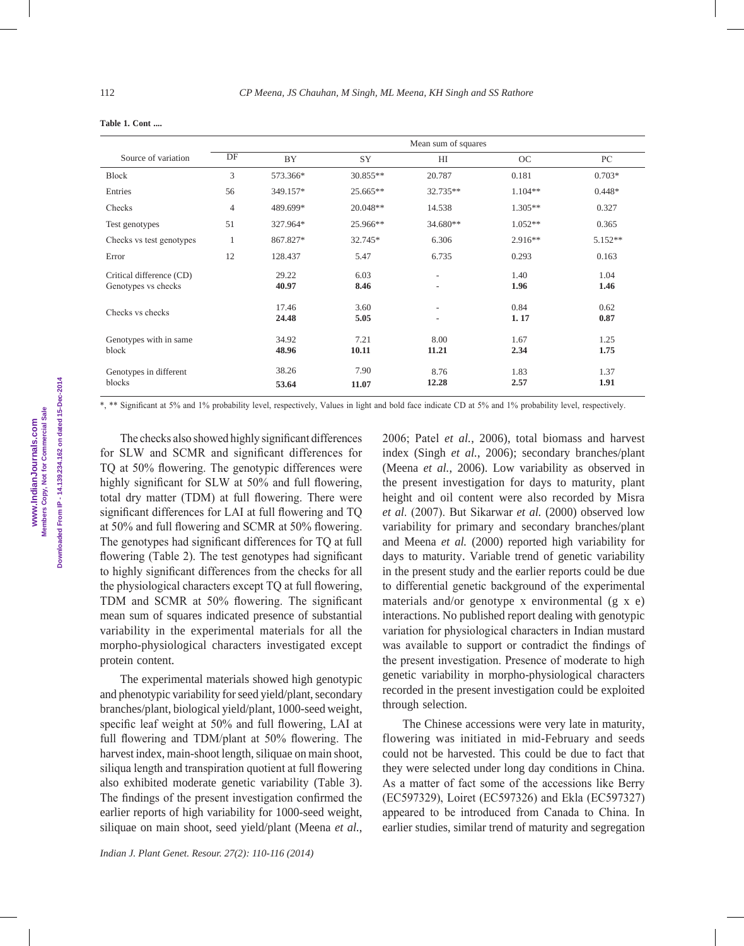|                                                 |    |                |               | Mean sum of squares                                  |              |              |
|-------------------------------------------------|----|----------------|---------------|------------------------------------------------------|--------------|--------------|
| Source of variation                             | DF | <b>BY</b>      | SY            | H                                                    | OC           | PC           |
| Block                                           | 3  | 573.366*       | 30.855**      | 20.787                                               | 0.181        | $0.703*$     |
| Entries                                         | 56 | 349.157*       | 25.665**      | 32.735**                                             | $1.104**$    | $0.448*$     |
| Checks                                          | 4  | 489.699*       | 20.048**      | 14.538                                               | $1.305**$    | 0.327        |
| Test genotypes                                  | 51 | 327.964*       | 25.966**      | 34.680**                                             | $1.052**$    | 0.365        |
| Checks vs test genotypes                        | 1  | 867.827*       | 32.745*       | 6.306                                                | $2.916**$    | $5.152**$    |
| Error                                           | 12 | 128.437        | 5.47          | 6.735                                                | 0.293        | 0.163        |
| Critical difference (CD)<br>Genotypes vs checks |    | 29.22<br>40.97 | 6.03<br>8.46  | $\overline{\phantom{a}}$<br>$\overline{\phantom{0}}$ | 1.40<br>1.96 | 1.04<br>1.46 |
| Checks vs checks                                |    | 17.46<br>24.48 | 3.60<br>5.05  | $\overline{\phantom{0}}$<br>$\overline{\phantom{0}}$ | 0.84<br>1.17 | 0.62<br>0.87 |
| Genotypes with in same<br>block                 |    | 34.92<br>48.96 | 7.21<br>10.11 | 8.00<br>11.21                                        | 1.67<br>2.34 | 1.25<br>1.75 |
| Genotypes in different<br>blocks                |    | 38.26<br>53.64 | 7.90<br>11.07 | 8.76<br>12.28                                        | 1.83<br>2.57 | 1.37<br>1.91 |

\*, \*\* Significant at 5% and 1% probability level, respectively, Values in light and bold face indicate CD at 5% and 1% probability level, respectively.

The checks also showed highly significant differences for SLW and SCMR and significant differences for TQ at 50% flowering. The genotypic differences were highly significant for SLW at 50% and full flowering, total dry matter (TDM) at full flowering. There were significant differences for LAI at full flowering and TQ at 50% and full flowering and SCMR at 50% flowering. The genotypes had significant differences for TQ at full flowering (Table 2). The test genotypes had significant to highly significant differences from the checks for all the physiological characters except TQ at full flowering, TDM and SCMR at 50% flowering. The significant mean sum of squares indicated presence of substantial variability in the experimental materials for all the morpho-physiological characters investigated except protein content.

The experimental materials showed high genotypic and phenotypic variability for seed yield/plant, secondary branches/plant, biological yield/plant, 1000-seed weight, specific leaf weight at 50% and full flowering, LAI at full flowering and TDM/plant at 50% flowering. The harvest index, main-shoot length, siliquae on main shoot, siliqua length and transpiration quotient at full flowering also exhibited moderate genetic variability (Table 3). The findings of the present investigation confirmed the earlier reports of high variability for 1000-seed weight, siliquae on main shoot, seed yield/plant (Meena *et al.*, 2006; Patel *et al.*, 2006), total biomass and harvest index (Singh *et al.*, 2006); secondary branches/plant (Meena *et al.*, 2006). Low variability as observed in the present investigation for days to maturity, plant height and oil content were also recorded by Misra *et al*. (2007). But Sikarwar *et al.* (2000) observed low variability for primary and secondary branches/plant and Meena *et al.* (2000) reported high variability for days to maturity. Variable trend of genetic variability in the present study and the earlier reports could be due to differential genetic background of the experimental materials and/or genotype x environmental  $(g \times e)$ interactions. No published report dealing with genotypic variation for physiological characters in Indian mustard was available to support or contradict the findings of the present investigation. Presence of moderate to high genetic variability in morpho-physiological characters recorded in the present investigation could be exploited through selection.

The Chinese accessions were very late in maturity, flowering was initiated in mid-February and seeds could not be harvested. This could be due to fact that they were selected under long day conditions in China. As a matter of fact some of the accessions like Berry (EC597329), Loiret (EC597326) and Ekla (EC597327) appeared to be introduced from Canada to China. In earlier studies, similar trend of maturity and segregation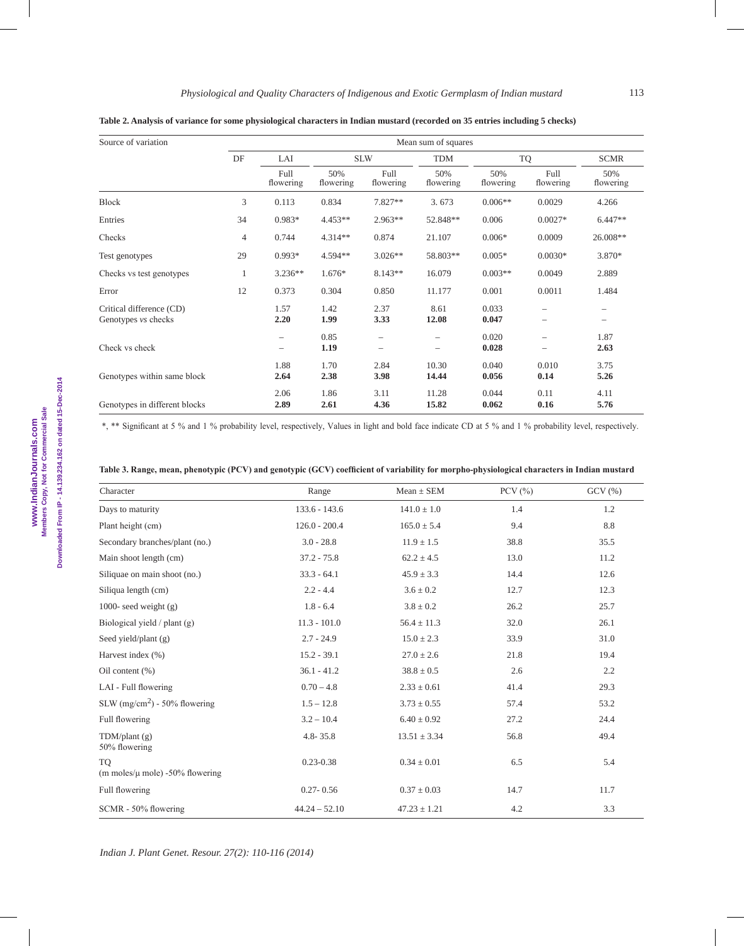| Source of variation                             | Mean sum of squares |                          |                  |                   |                  |                  |                                                      |                                               |  |  |
|-------------------------------------------------|---------------------|--------------------------|------------------|-------------------|------------------|------------------|------------------------------------------------------|-----------------------------------------------|--|--|
|                                                 | DF                  | LAI                      | <b>SLW</b>       |                   | <b>TDM</b>       | TQ               |                                                      | <b>SCMR</b>                                   |  |  |
|                                                 |                     | Full<br>flowering        | 50%<br>flowering | Full<br>flowering | 50%<br>flowering | 50%<br>flowering | Full<br>flowering                                    | 50%<br>flowering                              |  |  |
| Block                                           | 3                   | 0.113                    | 0.834            | $7.827**$         | 3.673            | $0.006**$        | 0.0029                                               | 4.266                                         |  |  |
| Entries                                         | 34                  | $0.983*$                 | $4.453**$        | $2.963**$         | 52.848**         | 0.006            | $0.0027*$                                            | $6.447**$                                     |  |  |
| Checks                                          | 4                   | 0.744                    | $4.314**$        | 0.874             | 21.107           | $0.006*$         | 0.0009                                               | 26.008**                                      |  |  |
| Test genotypes                                  | 29                  | $0.993*$                 | $4.594**$        | $3.026**$         | 58.803**         | $0.005*$         | $0.0030*$                                            | 3.870*                                        |  |  |
| Checks vs test genotypes                        | 1                   | $3.236**$                | 1.676*           | $8.143**$         | 16.079           | $0.003**$        | 0.0049                                               | 2.889                                         |  |  |
| Error                                           | 12                  | 0.373                    | 0.304            | 0.850             | 11.177           | 0.001            | 0.0011                                               | 1.484                                         |  |  |
| Critical difference (CD)<br>Genotypes vs checks |                     | 1.57<br>2.20             | 1.42<br>1.99     | 2.37<br>3.33      | 8.61<br>12.08    | 0.033<br>0.047   | $\overline{\phantom{0}}$<br>$\overline{\phantom{0}}$ | $\overline{\phantom{0}}$<br>$\qquad \qquad -$ |  |  |
| Check vs check                                  |                     | $\overline{\phantom{0}}$ | 0.85<br>1.19     |                   |                  | 0.020<br>0.028   |                                                      | 1.87<br>2.63                                  |  |  |
| Genotypes within same block                     |                     | 1.88<br>2.64             | 1.70<br>2.38     | 2.84<br>3.98      | 10.30<br>14.44   | 0.040<br>0.056   | 0.010<br>0.14                                        | 3.75<br>5.26                                  |  |  |
| Genotypes in different blocks                   |                     | 2.06<br>2.89             | 1.86<br>2.61     | 3.11<br>4.36      | 11.28<br>15.82   | 0.044<br>0.062   | 0.11<br>0.16                                         | 4.11<br>5.76                                  |  |  |

**Table 2. Analysis of variance for some physiological characters in Indian mustard (recorded on 35 entries including 5 checks)**

\*, \*\* Significant at 5 % and 1 % probability level, respectively, Values in light and bold face indicate CD at 5 % and 1 % probability level, respectively.

|  |  |  | Table 3. Range, mean, phenotypic (PCV) and genotypic (GCV) coefficient of variability for morpho-physiological characters in Indian mustard |
|--|--|--|---------------------------------------------------------------------------------------------------------------------------------------------|
|  |  |  |                                                                                                                                             |

| Character                                         | Range           | $Mean \pm SEM$   | PCV $(\% )$ | GCV(%) |
|---------------------------------------------------|-----------------|------------------|-------------|--------|
| Days to maturity                                  | $133.6 - 143.6$ | $141.0 \pm 1.0$  | 1.4         | 1.2    |
| Plant height (cm)                                 | $126.0 - 200.4$ | $165.0 \pm 5.4$  | 9.4         | 8.8    |
| Secondary branches/plant (no.)                    | $3.0 - 28.8$    | $11.9 \pm 1.5$   | 38.8        | 35.5   |
| Main shoot length (cm)                            | $37.2 - 75.8$   | $62.2 \pm 4.5$   | 13.0        | 11.2   |
| Siliquae on main shoot (no.)                      | $33.3 - 64.1$   | $45.9 \pm 3.3$   | 14.4        | 12.6   |
| Siliqua length (cm)                               | $2.2 - 4.4$     | $3.6 \pm 0.2$    | 12.7        | 12.3   |
| 1000- seed weight $(g)$                           | $1.8 - 6.4$     | $3.8 \pm 0.2$    | 26.2        | 25.7   |
| Biological yield $/$ plant $(g)$                  | $11.3 - 101.0$  | $56.4 \pm 11.3$  | 32.0        | 26.1   |
| Seed yield/plant $(g)$                            | $2.7 - 24.9$    | $15.0 \pm 2.3$   | 33.9        | 31.0   |
| Harvest index (%)                                 | $15.2 - 39.1$   | $27.0 \pm 2.6$   | 21.8        | 19.4   |
| Oil content $(\%)$                                | $36.1 - 41.2$   | $38.8 \pm 0.5$   | 2.6         | 2.2    |
| LAI - Full flowering                              | $0.70 - 4.8$    | $2.33 \pm 0.61$  | 41.4        | 29.3   |
| SLW $(mg/cm2)$ - 50% flowering                    | $1.5 - 12.8$    | $3.73 \pm 0.55$  | 57.4        | 53.2   |
| Full flowering                                    | $3.2 - 10.4$    | $6.40 \pm 0.92$  | 27.2        | 24.4   |
| TDM/plant(g)<br>50% flowering                     | $4.8 - 35.8$    | $13.51 \pm 3.34$ | 56.8        | 49.4   |
| <b>TO</b><br>(m moles/ $\mu$ mole) -50% flowering | $0.23 - 0.38$   | $0.34 \pm 0.01$  | 6.5         | 5.4    |
| Full flowering                                    | $0.27 - 0.56$   | $0.37 \pm 0.03$  | 14.7        | 11.7   |
| SCMR - 50% flowering                              | $44.24 - 52.10$ | $47.23 \pm 1.21$ | 4.2         | 3.3    |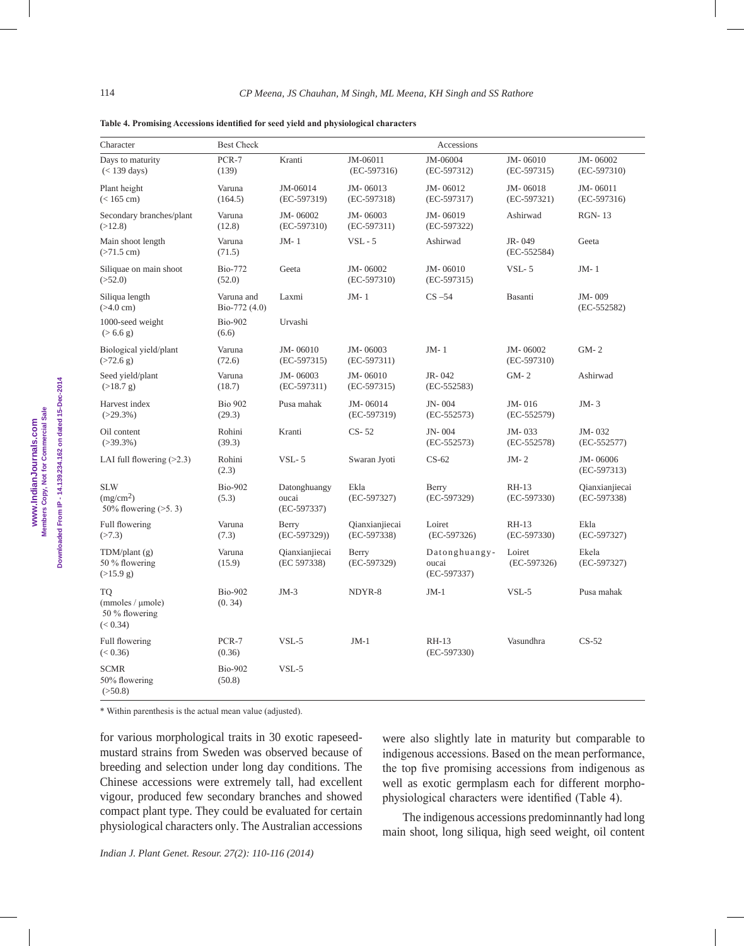| Character                                                      | <b>Best Check</b>           |                                      |                               |                                         |                               |                                 |
|----------------------------------------------------------------|-----------------------------|--------------------------------------|-------------------------------|-----------------------------------------|-------------------------------|---------------------------------|
| Days to maturity<br>$(< 139$ days)                             | PCR-7<br>(139)              | Kranti                               | JM-06011<br>$(EC-597316)$     | JM-06004<br>$(EC-597312)$               | JM-06010<br>$(EC-597315)$     | JM-06002<br>$(EC-597310)$       |
| Plant height<br>$(< 165$ cm)                                   | Varuna<br>(164.5)           | JM-06014<br>$(EC-597319)$            | JM-06013<br>$(EC-597318)$     | JM-06012<br>$(EC-597317)$               | JM-06018<br>$(EC-597321)$     | JM-06011<br>$(EC-597316)$       |
| Secondary branches/plant<br>(>12.8)                            | Varuna<br>(12.8)            | JM-06002<br>$(EC-597310)$            | JM-06003<br>$(EC-597311)$     | JM-06019<br>$(EC-597322)$               | Ashirwad                      | <b>RGN-13</b>                   |
| Main shoot length<br>$(>71.5$ cm)                              | Varuna<br>(71.5)            | $JM-1$                               | $VSL - 5$                     | Ashirwad                                | JR-049<br>$(EC-552584)$       | Geeta                           |
| Siliquae on main shoot<br>( >52.0)                             | <b>Bio-772</b><br>(52.0)    | Geeta                                | JM-06002<br>$(EC-597310)$     | JM-06010<br>$(EC-597315)$               | $VSL-5$                       | $JM-1$                          |
| Siliqua length<br>$(>4.0$ cm)                                  | Varuna and<br>Bio-772 (4.0) | Laxmi                                | $JM-1$                        | $CS -54$                                | Basanti                       | JM-009<br>$(EC-552582)$         |
| 1000-seed weight<br>$(> 6.6$ g)                                | <b>Bio-902</b><br>(6.6)     | Urvashi                              |                               |                                         |                               |                                 |
| Biological yield/plant<br>$($ >72.6 g)                         | Varuna<br>(72.6)            | JM-06010<br>$(EC-597315)$            | JM-06003<br>$(EC-597311)$     | $JM-1$                                  | JM-06002<br>$(EC-597310)$     | $GM-2$                          |
| Seed yield/plant<br>(>18.7 g)                                  | Varuna<br>(18.7)            | JM-06003<br>$(EC-597311)$            | JM-06010<br>$(EC-597315)$     | JR-042<br>$(EC-552583)$                 | $GM-2$                        | Ashirwad                        |
| Harvest index<br>$(>29.3\%)$                                   | <b>Bio 902</b><br>(29.3)    | Pusa mahak                           | JM-06014<br>$(EC-597319)$     | JN-004<br>$(EC-552573)$                 | JM-016<br>$(EC-552579)$       | $JM-3$                          |
| Oil content<br>$(>39.3\%)$                                     | Rohini<br>(39.3)            | Kranti                               | $CS-52$                       | JN-004<br>$(EC-552573)$                 | JM-033<br>$(EC-552578)$       | JM-032<br>$(EC-552577)$         |
| LAI full flowering $(>2.3)$                                    | Rohini<br>(2.3)             | $VSL-5$                              | Swaran Jyoti                  | $CS-62$                                 | $JM - 2$                      | JM-06006<br>$(EC-597313)$       |
| <b>SLW</b><br>(mg/cm <sup>2</sup> )<br>50% flowering $($ >5.3) | <b>Bio-902</b><br>(5.3)     | Datonghuangy<br>oucai<br>(EC-597337) | Ekla<br>(EC-597327)           | Berry<br>$(EC-597329)$                  | RH-13<br>$(EC-597330)$        | Qianxianjiecai<br>$(EC-597338)$ |
| Full flowering<br>(>7.3)                                       | Varuna<br>(7.3)             | Berry<br>$(EC-597329)$               | Qianxianjiecai<br>(EC-597338) | Loiret<br>$(EC-597326)$                 | <b>RH-13</b><br>$(EC-597330)$ | Ekla<br>$(EC-597327)$           |
| $TDM\}/\text{plant}(g)$<br>50 % flowering<br>(>15.9 g)         | Varuna<br>(15.9)            | Qianxianjiecai<br>(EC 597338)        | Berry<br>(EC-597329)          | Datonghuangy-<br>oucai<br>$(EC-597337)$ | Loiret<br>$(EC-597326)$       | Ekela<br>$(EC-597327)$          |
| <b>TQ</b><br>(mmoles / µmole)<br>50 % flowering<br>(< 0.34)    | <b>Bio-902</b><br>(0.34)    | $JM-3$                               | NDYR-8                        | $JM-1$                                  | $VSL-5$                       | Pusa mahak                      |
| Full flowering<br>(< 0.36)                                     | PCR-7<br>(0.36)             | $VSL-5$                              | $JM-1$                        | RH-13<br>$(EC-597330)$                  | Vasundhra                     | $CS-52$                         |
| <b>SCMR</b><br>50% flowering<br>( >50.8)                       | <b>Bio-902</b><br>(50.8)    | $VSL-5$                              |                               |                                         |                               |                                 |

**Table 4. Promising Accessions identified for seed yield and physiological characters**

\* Within parenthesis is the actual mean value (adjusted).

for various morphological traits in 30 exotic rapeseedmustard strains from Sweden was observed because of breeding and selection under long day conditions. The Chinese accessions were extremely tall, had excellent vigour, produced few secondary branches and showed compact plant type. They could be evaluated for certain physiological characters only. The Australian accessions were also slightly late in maturity but comparable to indigenous accessions. Based on the mean performance, the top five promising accessions from indigenous as well as exotic germplasm each for different morphophysiological characters were identified (Table 4).

The indigenous accessions predominnantly had long main shoot, long siliqua, high seed weight, oil content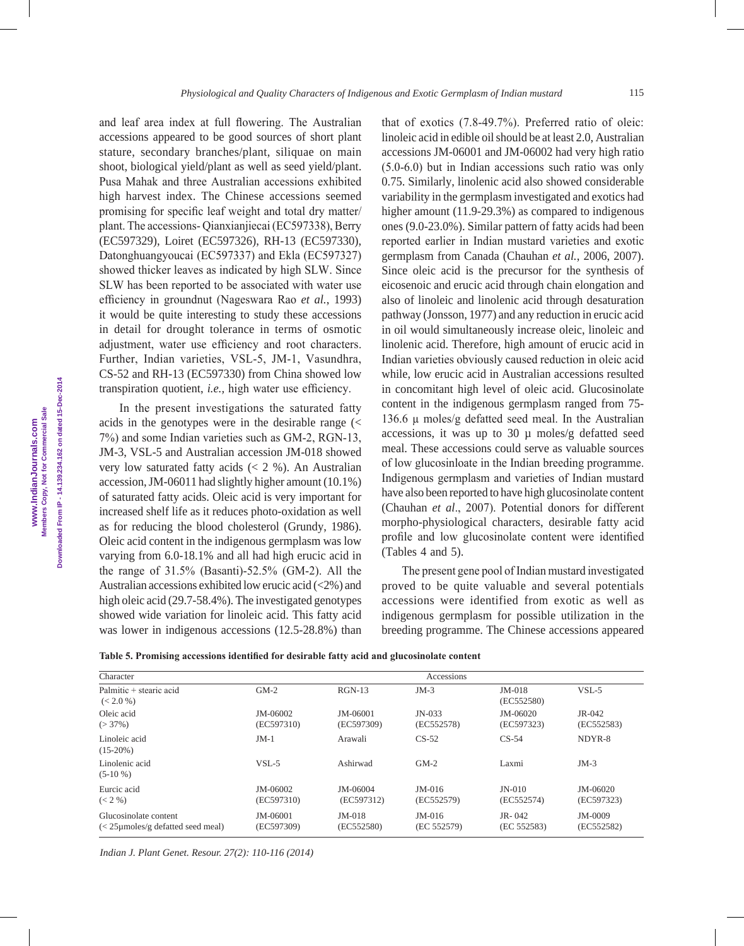and leaf area index at full flowering. The Australian accessions appeared to be good sources of short plant stature, secondary branches/plant, siliquae on main shoot, biological yield/plant as well as seed yield/plant. Pusa Mahak and three Australian accessions exhibited high harvest index. The Chinese accessions seemed promising for specific leaf weight and total dry matter/ plant. The accessions- Qianxianjiecai (EC597338), Berry (EC597329), Loiret (EC597326), RH-13 (EC597330), Datonghuangyoucai (EC597337) and Ekla (EC597327) showed thicker leaves as indicated by high SLW. Since SLW has been reported to be associated with water use efficiency in groundnut (Nageswara Rao *et al.*, 1993) it would be quite interesting to study these accessions in detail for drought tolerance in terms of osmotic adjustment, water use efficiency and root characters. Further, Indian varieties, VSL-5, JM-1, Vasundhra, CS-52 and RH-13 (EC597330) from China showed low transpiration quotient, *i.e.,* high water use efficiency.

In the present investigations the saturated fatty acids in the genotypes were in the desirable range (< 7%) and some Indian varieties such as GM-2, RGN-13, JM-3, VSL-5 and Australian accession JM-018 showed very low saturated fatty acids  $(< 2 %)$ . An Australian accession, JM-06011 had slightly higher amount (10.1%) of saturated fatty acids. Oleic acid is very important for increased shelf life as it reduces photo-oxidation as well as for reducing the blood cholesterol (Grundy, 1986). Oleic acid content in the indigenous germplasm was low varying from 6.0-18.1% and all had high erucic acid in the range of 31.5% (Basanti)-52.5% (GM-2). All the Australian accessions exhibited low erucic acid (<2%) and high oleic acid (29.7-58.4%). The investigated genotypes showed wide variation for linoleic acid. This fatty acid was lower in indigenous accessions (12.5-28.8%) than

that of exotics (7.8-49.7%). Preferred ratio of oleic: linoleic acid in edible oil should be at least 2.0, Australian accessions JM-06001 and JM-06002 had very high ratio (5.0-6.0) but in Indian accessions such ratio was only 0.75. Similarly, linolenic acid also showed considerable variability in the germplasm investigated and exotics had higher amount (11.9-29.3%) as compared to indigenous ones (9.0-23.0%). Similar pattern of fatty acids had been reported earlier in Indian mustard varieties and exotic germplasm from Canada (Chauhan *et al.*, 2006, 2007). Since oleic acid is the precursor for the synthesis of eicosenoic and erucic acid through chain elongation and also of linoleic and linolenic acid through desaturation pathway (Jonsson, 1977) and any reduction in erucic acid in oil would simultaneously increase oleic, linoleic and linolenic acid. Therefore, high amount of erucic acid in Indian varieties obviously caused reduction in oleic acid while, low erucic acid in Australian accessions resulted in concomitant high level of oleic acid. Glucosinolate content in the indigenous germplasm ranged from 75- 136.6  $\mu$  moles/g defatted seed meal. In the Australian accessions, it was up to  $30 \mu$  moles/g defatted seed meal. These accessions could serve as valuable sources of low glucosinloate in the Indian breeding programme. Indigenous germplasm and varieties of Indian mustard have also been reported to have high glucosinolate content (Chauhan *et al*., 2007). Potential donors for different morpho-physiological characters, desirable fatty acid profile and low glucosinolate content were identified (Tables 4 and 5).

The present gene pool of Indian mustard investigated proved to be quite valuable and several potentials accessions were identified from exotic as well as indigenous germplasm for possible utilization in the breeding programme. The Chinese accessions appeared

|  |  | Table 5. Promising accessions identified for desirable fatty acid and glucosinolate content |  |  |  |  |  |  |  |  |  |  |
|--|--|---------------------------------------------------------------------------------------------|--|--|--|--|--|--|--|--|--|--|
|--|--|---------------------------------------------------------------------------------------------|--|--|--|--|--|--|--|--|--|--|

| Character                                                            |                            |                        | Accessions              |                            |                        |
|----------------------------------------------------------------------|----------------------------|------------------------|-------------------------|----------------------------|------------------------|
| Palmitic + stearic acid<br>(< 2.0 %)                                 | $GM-2$                     | $RGN-13$               | $JM-3$                  | $JM-018$<br>(EC552580)     | $VSL-5$                |
| Oleic acid<br>$(>37\%)$                                              | $JM - 06002$<br>(EC597310) | JM-06001<br>(EC597309) | $JN-033$<br>(EC552578)  | $JM - 06020$<br>(EC597323) | $JR-042$<br>(EC552583) |
| Linoleic acid<br>$(15-20%)$                                          | $JM-1$                     | Arawali                | $CS-52$                 | $CS-54$                    | NDYR-8                 |
| Linolenic acid<br>$(5-10\%)$                                         | $VSI - 5$                  | Ashirwad               | $GM-2$                  | Laxmi                      | $JM-3$                 |
| Eurcic acid<br>$(< 2\% )$                                            | $JM - 06002$<br>(EC597310) | JM-06004<br>(EC597312) | $JM-016$<br>(EC552579)  | $JN-010$<br>(EC552574)     | JM-06020<br>(EC597323) |
| Glucosinolate content<br>$\langle$ < 25 µmoles/g defatted seed meal) | JM-06001<br>(EC597309)     | $JM-018$<br>(EC552580) | $JM-016$<br>(EC 552579) | $JR - 042$<br>(EC 552583)  | JM-0009<br>(EC552582)  |

*Indian J. Plant Genet. Resour. 27(2): 110-116 (2014)*